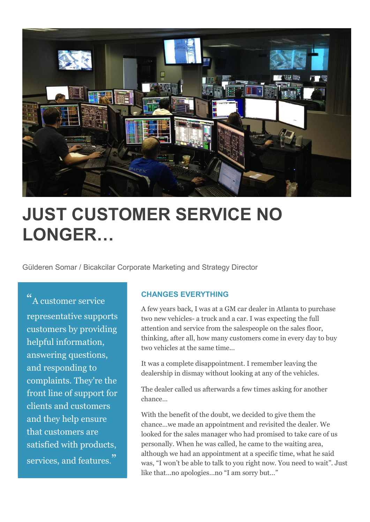

# **JUST CUSTOMER SERVICE NO LONGER…**

Gülderen Somar / Bicakcilar Corporate Marketing and Strategy Director

" A customer service representative supports customers by providing helpful information, answering questions, and responding to complaints. They're the front line of support for clients and customers and they help ensure that customers are satisfied with products, services, and features."

#### **CHANGES EVERYTHING**

A few years back, I was at a GM car dealer in Atlanta to purchase two new vehicles- a truck and a car. I was expecting the full attention and service from the salespeople on the sales floor, thinking, after all, how many customers come in every day to buy two vehicles at the same time...

It was a complete disappointment. I remember leaving the dealership in dismay without looking at any of the vehicles.

The dealer called us afterwards a few times asking for another chance…

With the benefit of the doubt, we decided to give them the chance…we made an appointment and revisited the dealer. We looked for the sales manager who had promised to take care of us personally. When he was called, he came to the waiting area, although we had an appointment at a specific time, what he said was, "I won't be able to talk to you right now. You need to wait". Just like that…no apologies…no "I am sorry but…"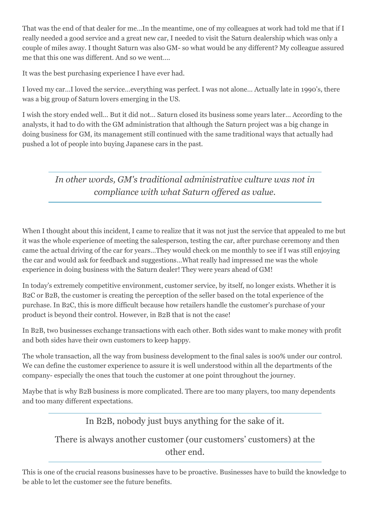That was the end of that dealer for me…In the meantime, one of my colleagues at work had told me that if I really needed a good service and a great new car, I needed to visit the Saturn dealership which was only a couple of miles away. I thought Saturn was also GM- so what would be any different? My colleague assured me that this one was different. And so we went….

It was the best purchasing experience I have ever had.

I loved my car…I loved the service…everything was perfect. I was not alone… Actually late in 1990's, there was a big group of Saturn lovers emerging in the US.

I wish the story ended well… But it did not… Saturn closed its business some years later… According to the analysts, it had to do with the GM administration that although the Saturn project was a big change in doing business for GM, its management still continued with the same traditional ways that actually had pushed a lot of people into buying Japanese cars in the past.

*In other words, GM's traditional administrative culture was not in compliance with what Saturn offered as value.*

When I thought about this incident, I came to realize that it was not just the service that appealed to me but it was the whole experience of meeting the salesperson, testing the car, after purchase ceremony and then came the actual driving of the car for years…They would check on me monthly to see if I was still enjoying the car and would ask for feedback and suggestions…What really had impressed me was the whole experience in doing business with the Saturn dealer! They were years ahead of GM!

In today's extremely competitive environment, customer service, by itself, no longer exists. Whether it is B2C or B2B, the customer is creating the perception of the seller based on the total experience of the purchase. In B2C, this is more difficult because how retailers handle the customer's purchase of your product is beyond their control. However, in B2B that is not the case!

In B2B, two businesses exchange transactions with each other. Both sides want to make money with profit and both sides have their own customers to keep happy.

The whole transaction, all the way from business development to the final sales is 100% under our control. We can define the customer experience to assure it is well understood within all the departments of the company- especially the ones that touch the customer at one point throughout the journey.

Maybe that is why B2B business is more complicated. There are too many players, too many dependents and too many different expectations.

In B2B, nobody just buys anything for the sake of it.

## There is always another customer (our customers' customers) at the other end.

This is one of the crucial reasons businesses have to be proactive. Businesses have to build the knowledge to be able to let the customer see the future benefits.